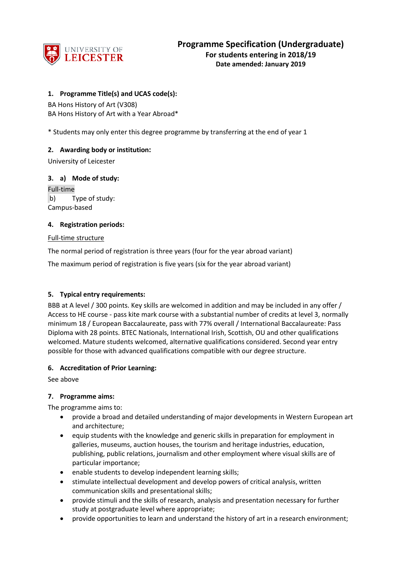

# **1. Programme Title(s) and UCAS code(s):**

BA Hons History of Art (V308) BA Hons History of Art with a Year Abroad\*

\* Students may only enter this degree programme by transferring at the end of year 1

## **2. Awarding body or institution:**

University of Leicester

## **3. a) Mode of study:**

Full-time b) Type of study: Campus-based

## **4. Registration periods:**

### Full-time structure

The normal period of registration is three years (four for the year abroad variant)

The maximum period of registration is five years (six for the year abroad variant)

## **5. Typical entry requirements:**

BBB at A level / 300 points. Key skills are welcomed in addition and may be included in any offer / Access to HE course - pass kite mark course with a substantial number of credits at level 3, normally minimum 18 / European Baccalaureate, pass with 77% overall / International Baccalaureate: Pass Diploma with 28 points. BTEC Nationals, International Irish, Scottish, OU and other qualifications welcomed. Mature students welcomed, alternative qualifications considered. Second year entry possible for those with advanced qualifications compatible with our degree structure.

## **6. Accreditation of Prior Learning:**

See above

## **7. Programme aims:**

The programme aims to:

- provide a broad and detailed understanding of major developments in Western European art and architecture;
- equip students with the knowledge and generic skills in preparation for employment in galleries, museums, auction houses, the tourism and heritage industries, education, publishing, public relations, journalism and other employment where visual skills are of particular importance;
- enable students to develop independent learning skills;
- stimulate intellectual development and develop powers of critical analysis, written communication skills and presentational skills;
- provide stimuli and the skills of research, analysis and presentation necessary for further study at postgraduate level where appropriate;
- provide opportunities to learn and understand the history of art in a research environment;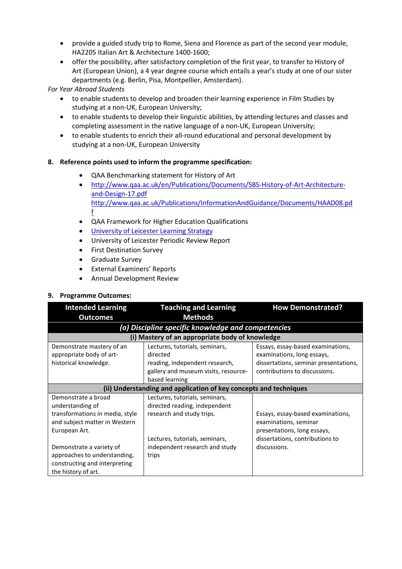- provide a guided study trip to Rome, Siena and Florence as part of the second year module, HA2205 Italian Art & Architecture 1400-1600;
- offer the possibility, after satisfactory completion of the first year, to transfer to History of Art (European Union), a 4 year degree course which entails a year's study at one of our sister departments (e.g. Berlin, Pisa, Montpellier, Amsterdam).

*For Year Abroad Students*

- to enable students to develop and broaden their learning experience in Film Studies by studying at a non-UK, European University;
- to enable students to develop their linguistic abilities, by attending lectures and classes and completing assessment in the native language of a non-UK, European University;
- to enable students to enrich their all-round educational and personal development by studying at a non-UK, European University

# **8. Reference points used to inform the programme specification:**

- QAA Benchmarking statement for History of Art
- [http://www.qaa.ac.uk/en/Publications/Documents/SBS-History-of-Art-Architecture](http://www.qaa.ac.uk/en/Publications/Documents/SBS-History-of-Art-Architecture-and-Design-17.pdf%20http:/www.qaa.ac.uk/Publications/InformationAndGuidance/Documents/HAAD08.pdf)[and-Design-17.pdf](http://www.qaa.ac.uk/en/Publications/Documents/SBS-History-of-Art-Architecture-and-Design-17.pdf%20http:/www.qaa.ac.uk/Publications/InformationAndGuidance/Documents/HAAD08.pdf) [http://www.qaa.ac.uk/Publications/InformationAndGuidance/Documents/HAAD08.pd](http://www.qaa.ac.uk/en/Publications/Documents/SBS-History-of-Art-Architecture-and-Design-17.pdf%20http:/www.qaa.ac.uk/Publications/InformationAndGuidance/Documents/HAAD08.pdf) [f](http://www.qaa.ac.uk/en/Publications/Documents/SBS-History-of-Art-Architecture-and-Design-17.pdf%20http:/www.qaa.ac.uk/Publications/InformationAndGuidance/Documents/HAAD08.pdf)
- QAA Framework for Higher Education Qualifications
- [University of Leicester Learning Strategy](http://www2.le.ac.uk/offices/sas2/quality/learnteach)
- University of Leicester Periodic Review Report
- First Destination Survey
- Graduate Survey
- External Examiners' Reports
- Annual Development Review

# **9. Programme Outcomes:**

| <b>Intended Learning</b><br><b>Outcomes</b>                                                                      | <b>Teaching and Learning</b><br><b>Methods</b>                                                                       | <b>How Demonstrated?</b>                                                                                                                  |  |
|------------------------------------------------------------------------------------------------------------------|----------------------------------------------------------------------------------------------------------------------|-------------------------------------------------------------------------------------------------------------------------------------------|--|
| (a) Discipline specific knowledge and competencies                                                               |                                                                                                                      |                                                                                                                                           |  |
|                                                                                                                  | (i) Mastery of an appropriate body of knowledge                                                                      |                                                                                                                                           |  |
| Demonstrate mastery of an<br>appropriate body of art-<br>historical knowledge.                                   | Lectures, tutorials, seminars,<br>directed<br>reading, independent research,<br>gallery and museum visits, resource- | Essays, essay-based examinations,<br>examinations, long essays,<br>dissertations, seminar presentations,<br>contributions to discussions. |  |
|                                                                                                                  | based learning<br>(ii) Understanding and application of key concepts and techniques                                  |                                                                                                                                           |  |
|                                                                                                                  |                                                                                                                      |                                                                                                                                           |  |
| Demonstrate a broad<br>understanding of                                                                          | Lectures, tutorials, seminars,<br>directed reading, independent                                                      |                                                                                                                                           |  |
| transformations in media, style<br>and subject matter in Western<br>European Art.                                | research and study trips.<br>Lectures, tutorials, seminars,                                                          | Essays, essay-based examinations,<br>examinations, seminar<br>presentations, long essays,<br>dissertations, contributions to              |  |
| Demonstrate a variety of<br>approaches to understanding,<br>constructing and interpreting<br>the history of art. | independent research and study<br>trips                                                                              | discussions.                                                                                                                              |  |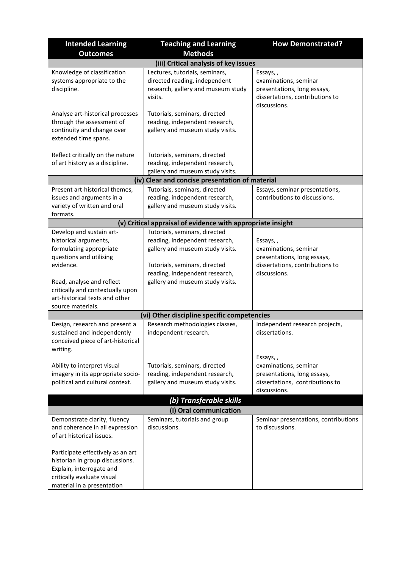| <b>Intended Learning</b>                                             | <b>Teaching and Learning</b>                                | <b>How Demonstrated?</b>                         |  |
|----------------------------------------------------------------------|-------------------------------------------------------------|--------------------------------------------------|--|
| <b>Outcomes</b>                                                      | <b>Methods</b>                                              |                                                  |  |
|                                                                      | (iii) Critical analysis of key issues                       |                                                  |  |
| Knowledge of classification                                          | Lectures, tutorials, seminars,                              | Essays,,                                         |  |
| systems appropriate to the                                           | directed reading, independent                               | examinations, seminar                            |  |
| discipline.                                                          | research, gallery and museum study                          | presentations, long essays,                      |  |
|                                                                      | visits.                                                     | dissertations, contributions to                  |  |
| Analyse art-historical processes                                     | Tutorials, seminars, directed                               | discussions.                                     |  |
| through the assessment of                                            | reading, independent research,                              |                                                  |  |
| continuity and change over                                           | gallery and museum study visits.                            |                                                  |  |
| extended time spans.                                                 |                                                             |                                                  |  |
|                                                                      |                                                             |                                                  |  |
| Reflect critically on the nature                                     | Tutorials, seminars, directed                               |                                                  |  |
| of art history as a discipline.                                      | reading, independent research,                              |                                                  |  |
|                                                                      | gallery and museum study visits.                            |                                                  |  |
|                                                                      | (iv) Clear and concise presentation of material             |                                                  |  |
| Present art-historical themes,                                       | Tutorials, seminars, directed                               | Essays, seminar presentations,                   |  |
| issues and arguments in a                                            | reading, independent research,                              | contributions to discussions.                    |  |
| variety of written and oral<br>formats.                              | gallery and museum study visits.                            |                                                  |  |
|                                                                      | (v) Critical appraisal of evidence with appropriate insight |                                                  |  |
| Develop and sustain art-                                             | Tutorials, seminars, directed                               |                                                  |  |
| historical arguments,                                                | reading, independent research,                              | Essays,,                                         |  |
| formulating appropriate                                              | gallery and museum study visits.                            | examinations, seminar                            |  |
| questions and utilising                                              |                                                             | presentations, long essays,                      |  |
| evidence.                                                            | Tutorials, seminars, directed                               | dissertations, contributions to                  |  |
|                                                                      | reading, independent research,                              | discussions.                                     |  |
| Read, analyse and reflect                                            | gallery and museum study visits.                            |                                                  |  |
| critically and contextually upon                                     |                                                             |                                                  |  |
| art-historical texts and other                                       |                                                             |                                                  |  |
| source materials.                                                    |                                                             |                                                  |  |
|                                                                      | (vi) Other discipline specific competencies                 |                                                  |  |
| Design, research and present a<br>sustained and independently        | Research methodologies classes,<br>independent research.    | Independent research projects,<br>dissertations. |  |
| conceived piece of art-historical                                    |                                                             |                                                  |  |
| writing.                                                             |                                                             |                                                  |  |
|                                                                      |                                                             | Essays,,                                         |  |
| Ability to interpret visual                                          | Tutorials, seminars, directed                               | examinations, seminar                            |  |
| imagery in its appropriate socio-                                    | reading, independent research,                              | presentations, long essays,                      |  |
| political and cultural context.                                      | gallery and museum study visits.                            | dissertations, contributions to                  |  |
|                                                                      |                                                             | discussions.                                     |  |
|                                                                      | (b) Transferable skills                                     |                                                  |  |
| (i) Oral communication                                               |                                                             |                                                  |  |
| Demonstrate clarity, fluency                                         | Seminars, tutorials and group                               | Seminar presentations, contributions             |  |
| and coherence in all expression                                      | discussions.                                                | to discussions.                                  |  |
| of art historical issues.                                            |                                                             |                                                  |  |
|                                                                      |                                                             |                                                  |  |
| Participate effectively as an art<br>historian in group discussions. |                                                             |                                                  |  |
| Explain, interrogate and                                             |                                                             |                                                  |  |
| critically evaluate visual                                           |                                                             |                                                  |  |
| material in a presentation                                           |                                                             |                                                  |  |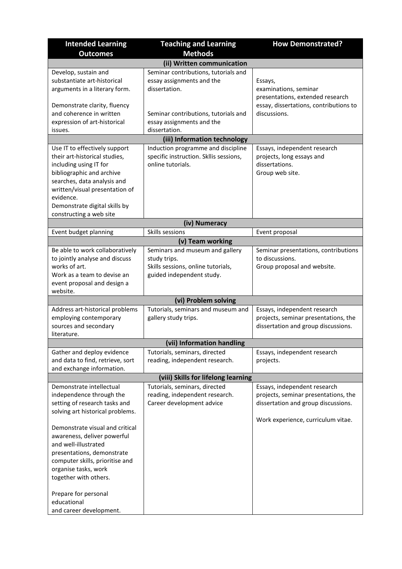| <b>Intended Learning</b>                                          | <b>Teaching and Learning</b>                       | <b>How Demonstrated?</b>                                |
|-------------------------------------------------------------------|----------------------------------------------------|---------------------------------------------------------|
| <b>Outcomes</b>                                                   | <b>Methods</b>                                     |                                                         |
|                                                                   | (ii) Written communication                         |                                                         |
| Develop, sustain and                                              | Seminar contributions, tutorials and               |                                                         |
| substantiate art-historical                                       | essay assignments and the                          | Essays,                                                 |
| arguments in a literary form.                                     | dissertation.                                      | examinations, seminar                                   |
|                                                                   |                                                    | presentations, extended research                        |
| Demonstrate clarity, fluency                                      |                                                    | essay, dissertations, contributions to                  |
| and coherence in written                                          | Seminar contributions, tutorials and               | discussions.                                            |
| expression of art-historical                                      | essay assignments and the                          |                                                         |
| issues.                                                           | dissertation.                                      |                                                         |
|                                                                   | (iii) Information technology                       |                                                         |
| Use IT to effectively support                                     | Induction programme and discipline                 | Essays, independent research                            |
| their art-historical studies,                                     | specific instruction. Skllis sessions,             | projects, long essays and                               |
| including using IT for                                            | online tutorials.                                  | dissertations.                                          |
| bibliographic and archive                                         |                                                    | Group web site.                                         |
| searches, data analysis and                                       |                                                    |                                                         |
| written/visual presentation of                                    |                                                    |                                                         |
| evidence.                                                         |                                                    |                                                         |
| Demonstrate digital skills by<br>constructing a web site          |                                                    |                                                         |
|                                                                   | (iv) Numeracy                                      |                                                         |
| Event budget planning                                             | Skills sessions                                    | Event proposal                                          |
|                                                                   |                                                    |                                                         |
|                                                                   | (v) Team working                                   |                                                         |
| Be able to work collaboratively<br>to jointly analyse and discuss | Seminars and museum and gallery                    | Seminar presentations, contributions<br>to discussions. |
| works of art.                                                     | study trips.<br>Skills sessions, online tutorials, | Group proposal and website.                             |
| Work as a team to devise an                                       | guided independent study.                          |                                                         |
| event proposal and design a                                       |                                                    |                                                         |
| website.                                                          |                                                    |                                                         |
|                                                                   | (vi) Problem solving                               |                                                         |
| Address art-historical problems                                   | Tutorials, seminars and museum and                 | Essays, independent research                            |
| employing contemporary                                            | gallery study trips.                               | projects, seminar presentations, the                    |
| sources and secondary                                             |                                                    | dissertation and group discussions.                     |
| literature.                                                       |                                                    |                                                         |
|                                                                   | (vii) Information handling                         |                                                         |
| Gather and deploy evidence                                        | Tutorials, seminars, directed                      | Essays, independent research                            |
| and data to find, retrieve, sort                                  | reading, independent research.                     | projects.                                               |
| and exchange information.                                         |                                                    |                                                         |
|                                                                   | (viii) Skills for lifelong learning                |                                                         |
| Demonstrate intellectual                                          | Tutorials, seminars, directed                      | Essays, independent research                            |
| independence through the                                          | reading, independent research.                     | projects, seminar presentations, the                    |
| setting of research tasks and                                     | Career development advice                          | dissertation and group discussions.                     |
| solving art historical problems.                                  |                                                    |                                                         |
|                                                                   |                                                    | Work experience, curriculum vitae.                      |
| Demonstrate visual and critical                                   |                                                    |                                                         |
| awareness, deliver powerful                                       |                                                    |                                                         |
| and well-illustrated                                              |                                                    |                                                         |
| presentations, demonstrate                                        |                                                    |                                                         |
| computer skills, prioritise and                                   |                                                    |                                                         |
| organise tasks, work<br>together with others.                     |                                                    |                                                         |
|                                                                   |                                                    |                                                         |
| Prepare for personal                                              |                                                    |                                                         |
| educational                                                       |                                                    |                                                         |
| and career development.                                           |                                                    |                                                         |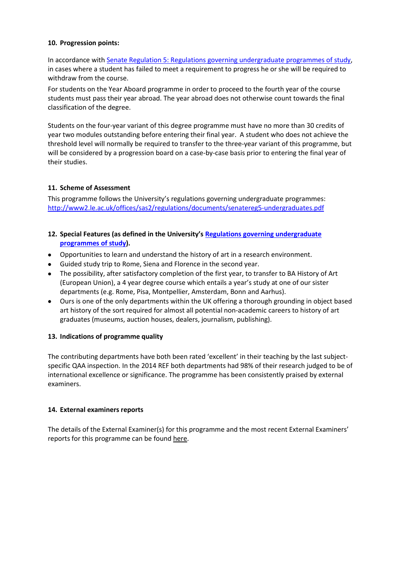## **10. Progression points:**

In accordance with [Senate Regulation 5: Regulations governing undergraduate programmes of study,](https://www2.le.ac.uk/offices/sas2/regulations/documents/senatereg5-undergraduates) in cases where a student has failed to meet a requirement to progress he or she will be required to withdraw from the course.

For students on the Year Aboard programme in order to proceed to the fourth year of the course students must pass their year abroad. The year abroad does not otherwise count towards the final classification of the degree.

Students on the four-year variant of this degree programme must have no more than 30 credits of year two modules outstanding before entering their final year. A student who does not achieve the threshold level will normally be required to transfer to the three-year variant of this programme, but will be considered by a progression board on a case-by-case basis prior to entering the final year of their studies.

# **11. Scheme of Assessment**

This programme follows the University's regulations governing undergraduate programmes: <http://www2.le.ac.uk/offices/sas2/regulations/documents/senatereg5-undergraduates.pdf>

- **12. Special Features (as defined in the University's [Regulations governing undergraduate](http://www2.le.ac.uk/offices/sas2/regulations/documents/senatereg5-undergraduates.pdf)  [programmes of study\)](http://www2.le.ac.uk/offices/sas2/regulations/documents/senatereg5-undergraduates.pdf).**
- Opportunities to learn and understand the history of art in a research environment.
- Guided study trip to Rome, Siena and Florence in the second year.
- The possibility, after satisfactory completion of the first year, to transfer to BA History of Art (European Union), a 4 year degree course which entails a year's study at one of our sister departments (e.g. Rome, Pisa, Montpellier, Amsterdam, Bonn and Aarhus).
- Ours is one of the only departments within the UK offering a thorough grounding in object based art history of the sort required for almost all potential non-academic careers to history of art graduates (museums, auction houses, dealers, journalism, publishing).

# **13. Indications of programme quality**

The contributing departments have both been rated 'excellent' in their teaching by the last subjectspecific QAA inspection. In the 2014 REF both departments had 98% of their research judged to be of international excellence or significance. The programme has been consistently praised by external examiners.

## **14. External examiners reports**

The details of the External Examiner(s) for this programme and the most recent External Examiners' reports for this programme can be foun[d here.](https://exampapers.le.ac.uk/xmlui/)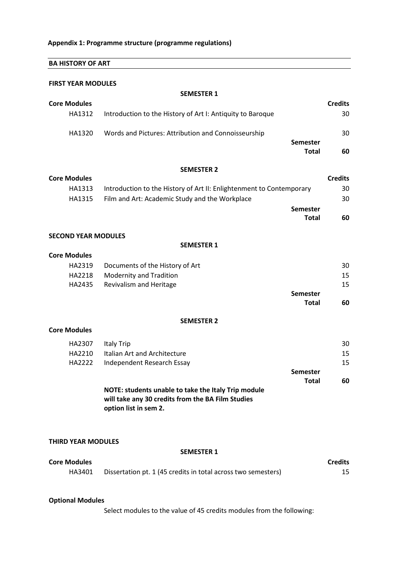| <b>BA HISTORY OF ART</b>   |                                                                      |                |
|----------------------------|----------------------------------------------------------------------|----------------|
| <b>FIRST YEAR MODULES</b>  |                                                                      |                |
|                            | <b>SEMESTER 1</b>                                                    |                |
| <b>Core Modules</b>        |                                                                      | <b>Credits</b> |
| HA1312                     | Introduction to the History of Art I: Antiquity to Baroque           | 30             |
|                            |                                                                      |                |
| HA1320                     | Words and Pictures: Attribution and Connoisseurship                  | 30             |
|                            | <b>Semester</b>                                                      |                |
|                            | <b>Total</b>                                                         | 60             |
|                            | <b>SEMESTER 2</b>                                                    |                |
| <b>Core Modules</b>        |                                                                      | <b>Credits</b> |
| HA1313                     | Introduction to the History of Art II: Enlightenment to Contemporary | 30             |
| HA1315                     | Film and Art: Academic Study and the Workplace                       | 30             |
|                            | <b>Semester</b>                                                      |                |
|                            | <b>Total</b>                                                         | 60             |
|                            |                                                                      |                |
| <b>SECOND YEAR MODULES</b> |                                                                      |                |
|                            | <b>SEMESTER 1</b>                                                    |                |
| <b>Core Modules</b>        |                                                                      |                |
| HA2319                     | Documents of the History of Art                                      | 30             |
| HA2218                     | Modernity and Tradition                                              | 15             |
| HA2435                     | Revivalism and Heritage                                              | 15             |
|                            | <b>Semester</b><br><b>Total</b>                                      | 60             |
|                            |                                                                      |                |
|                            | <b>SEMESTER 2</b>                                                    |                |
| <b>Core Modules</b>        |                                                                      |                |
| HA2307                     | <b>Italy Trip</b>                                                    | 30             |
| HA2210                     | Italian Art and Architecture                                         | 15             |
| HA2222                     | Independent Research Essay                                           | 15             |
|                            | <b>Semester</b>                                                      |                |
|                            | <b>Total</b>                                                         | 60             |

| <b>NOTE: students unable to take the Italy Trip module</b> |  |
|------------------------------------------------------------|--|
| will take any 30 credits from the BA Film Studies          |  |
| option list in sem 2.                                      |  |

#### **THIRD YEAR MODULES**

#### **SEMESTER 1**

| <b>Core Modules</b> |                                                               | <b>Credits</b> |
|---------------------|---------------------------------------------------------------|----------------|
| HA3401              | Dissertation pt. 1 (45 credits in total across two semesters) |                |

### **Optional Modules**

Select modules to the value of 45 credits modules from the following: